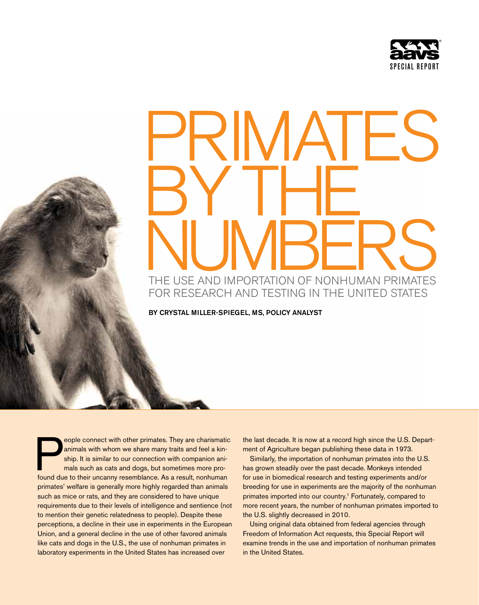

# $\mathsf{H}\mathsf{S}$ BY THE THE USE AND IMPORTATION OF NONHUMAN PRIMATES for research and testing in the United States

by Crystal Miller-Spiegel, MS, Policy Analyst

eople connect with other primates. They are charismatic animals with whom we share many traits and feel a kinship. It is similar to our connection with companion animals such as cats and dogs, but sometimes more profound d animals with whom we share many traits and feel a kinship. It is similar to our connection with companion animals such as cats and dogs, but sometimes more profound due to their uncanny resemblance. As a result, nonhuman primates' welfare is generally more highly regarded than animals such as mice or rats, and they are considered to have unique requirements due to their levels of intelligence and sentience (not to mention their genetic relatedness to people). Despite these perceptions, a decline in their use in experiments in the European Union, and a general decline in the use of other favored animals like cats and dogs in the U.S., the use of nonhuman primates in laboratory experiments in the United States has increased over

the last decade. It is now at a record high since the U.S. Department of Agriculture began publishing these data in 1973.

Similarly, the importation of nonhuman primates into the U.S. has grown steadily over the past decade. Monkeys intended for use in biomedical research and testing experiments and/or breeding for use in experiments are the majority of the nonhuman primates imported into our country.<sup>1</sup> Fortunately, compared to more recent years, the number of nonhuman primates imported to the U.S. slightly decreased in 2010.

Using original data obtained from federal agencies through Freedom of Information Act requests, this Special Report will examine trends in the use and importation of nonhuman primates in the United States.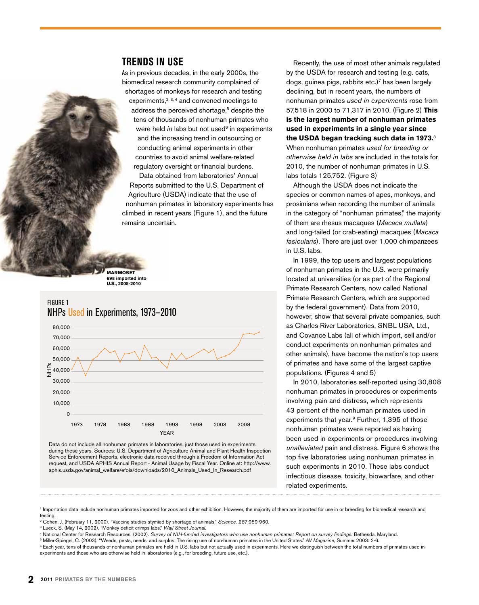#### **Trends in Use**

As in previous decades, in the early 2000s, the biomedical research community complained of shortages of monkeys for research and testing

experiments, $2, 3, 4$  and convened meetings to address the perceived shortage,<sup>5</sup> despite the tens of thousands of nonhuman primates who were held *in* labs but not used<sup>6</sup> in experiments and the increasing trend in outsourcing or conducting animal experiments in other countries to avoid animal welfare-related regulatory oversight or financial burdens.

Data obtained from laboratories' Annual Reports submitted to the U.S. Department of Agriculture (USDA) indicate that the use of nonhuman primates in laboratory experiments has climbed in recent years (Figure 1), and the future remains uncertain.

**Marmoset 698 imported into U.S., 2005-2010**

#### Figure 1 NHPs Used in Experiments, 1973—2010



Data do not include all nonhuman primates in laboratories, just those used in experiments during these years. Sources: U.S. Department of Agriculture Animal and Plant Health Inspection Service Enforcement Reports, electronic data received through a Freedom of Information Act request, and USDA APHIS Annual Report - Animal Usage by Fiscal Year. Online at: http://www. aphis.usda.gov/animal\_welfare/efoia/downloads/2010\_Animals\_Used\_In\_Research.pdf

Recently, the use of most other animals regulated by the USDA for research and testing (e.g. cats, dogs, guinea pigs, rabbits etc.)<sup>7</sup> has been largely declining, but in recent years, the numbers of nonhuman primates *used in experiments* rose from 57,518 in 2000 to 71,317 in 2010. (Figure 2) **This is the largest number of nonhuman primates used in experiments in a single year since the USDA began tracking such data in 1973.**<sup>8</sup> When nonhuman primates *used for breeding or otherwise held in labs* are included in the totals for 2010, the number of nonhuman primates in U.S. labs totals 125,752. (Figure 3)

Although the USDA does not indicate the species or common names of apes, monkeys, and prosimians when recording the number of animals in the category of "nonhuman primates," the majority of them are rhesus macaques (*Macaca mullata*) and long-tailed (or crab-eating) macaques (*Macaca fasicularis*). There are just over 1,000 chimpanzees in U.S. labs.

In 1999, the top users and largest populations of nonhuman primates in the U.S. were primarily located at universities (or as part of the Regional Primate Research Centers, now called National Primate Research Centers, which are supported by the federal government). Data from 2010, however, show that several private companies, such as Charles River Laboratories, SNBL USA, Ltd., and Covance Labs (all of which import, sell and/or conduct experiments on nonhuman primates and other animals), have become the nation's top users of primates and have some of the largest captive populations. (Figures 4 and 5)

In 2010, laboratories self-reported using 30,808 nonhuman primates in procedures or experiments involving pain and distress, which represents 43 percent of the nonhuman primates used in experiments that year.9 Further, 1,395 of those nonhuman primates were reported as having been used in experiments or procedures involving *unalleviated* pain and distress. Figure 6 shows the top five laboratories using nonhuman primates in such experiments in 2010. These labs conduct infectious disease, toxicity, biowarfare, and other related experiments.

<sup>1</sup> Importation data include nonhuman primates imported for zoos and other exhibition. However, the majority of them are imported for use in or breeding for biomedical research and testing.

<sup>2</sup> Cohen, J. (February 11, 2000). "Vaccine studies stymied by shortage of animals." *Science. 287*:959-960.<br><sup>3</sup> Lueck, S. (May 14, 2002). "Monkey deficit crimps labs." *Wall Street Journal.* 

5 Miller-Spiegel, C. (2003). "Weeds, pests, needs, and surplus: The rising use of non-human primates in the United States." *AV Magazine*, Summer 2003: 2-6.

<sup>6</sup> Each year, tens of thousands of nonhuman primates are held in U.S. labs but not actually used in experiments. Here we distinguish between the total numbers of primates used in experiments and those who are otherwise held in laboratories (e.g., for breeding, future use, etc.).

<sup>4</sup> National Center for Research Resources. (2002). Survey of NIH-funded investigators who use nonhuman primates: Report on survey findings. Bethesda, Maryland.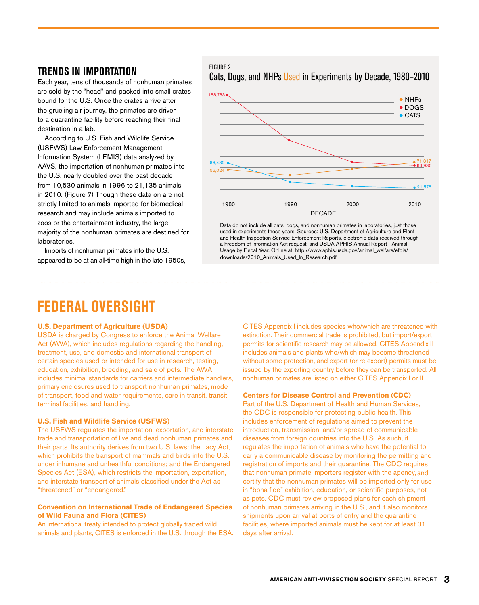Each year, tens of thousands of nonhuman primates are sold by the "head" and packed into small crates bound for the U.S. Once the crates arrive after the grueling air journey, the primates are driven to a quarantine facility before reaching their final destination in a lab.

According to U.S. Fish and Wildlife Service (USFWS) Law Enforcement Management Information System (LEMIS) data analyzed by AAVS, the importation of nonhuman primates into the U.S. nearly doubled over the past decade from 10,530 animals in 1996 to 21,135 animals in 2010. (Figure 7) Though these data on are not strictly limited to animals imported for biomedical research and may include animals imported to zoos or the entertainment industry, the large majority of the nonhuman primates are destined for laboratories.

Imports of nonhuman primates into the U.S. appeared to be at an all-time high in the late 1950s,

#### Figure 2 Cats, Dogs, and NHPs Used in Experiments by Decade, 1980–2010 **Trends in importation**



Data do not include all cats, dogs, and nonhuman primates in laboratories, just those used in experiments these years. Sources: U.S. Department of Agriculture and Plant and Health Inspection Service Enforcement Reports, electronic data received through a Freedom of Information Act request, and USDA APHIS Annual Report - Animal Usage by Fiscal Year. Online at: http://www.aphis.usda.gov/animal\_welfare/efoia/ downloads/2010\_Animals\_Used\_In\_Research.pdf

## **Federal Oversight**

#### **U.S. Department of Agriculture (USDA)**

USDA is charged by Congress to enforce the Animal Welfare Act (AWA), which includes regulations regarding the handling, treatment, use, and domestic and international transport of certain species used or intended for use in research, testing, education, exhibition, breeding, and sale of pets. The AWA includes minimal standards for carriers and intermediate handlers, primary enclosures used to transport nonhuman primates, mode of transport, food and water requirements, care in transit, transit terminal facilities, and handling.

#### **U.S. Fish and Wildlife Service (USFWS)**

The USFWS regulates the importation, exportation, and interstate trade and transportation of live and dead nonhuman primates and their parts. Its authority derives from two U.S. laws: the Lacy Act, which prohibits the transport of mammals and birds into the U.S. under inhumane and unhealthful conditions; and the Endangered Species Act (ESA), which restricts the importation, exportation, and interstate transport of animals classified under the Act as "threatened" or "endangered."

#### **Convention on International Trade of Endangered Species of Wild Fauna and Flora (CITES)**

An international treaty intended to protect globally traded wild animals and plants, CITES is enforced in the U.S. through the ESA. CITES Appendix I includes species who/which are threatened with extinction. Their commercial trade is prohibited, but import/export permits for scientific research may be allowed. CITES Appendix II includes animals and plants who/which may become threatened without some protection, and export (or re-export) permits must be issued by the exporting country before they can be transported. All nonhuman primates are listed on either CITES Appendix I or II.

#### **Centers for Disease Control and Prevention (CDC)**

Part of the U.S. Department of Health and Human Services, the CDC is responsible for protecting public health. This includes enforcement of regulations aimed to prevent the introduction, transmission, and/or spread of communicable diseases from foreign countries into the U.S. As such, it regulates the importation of animals who have the potential to carry a communicable disease by monitoring the permitting and registration of imports and their quarantine. The CDC requires that nonhuman primate importers register with the agency, and certify that the nonhuman primates will be imported only for use in "bona fide" exhibition, education, or scientific purposes, not as pets. CDC must review proposed plans for each shipment of nonhuman primates arriving in the U.S., and it also monitors shipments upon arrival at ports of entry and the quarantine facilities, where imported animals must be kept for at least 31 days after arrival.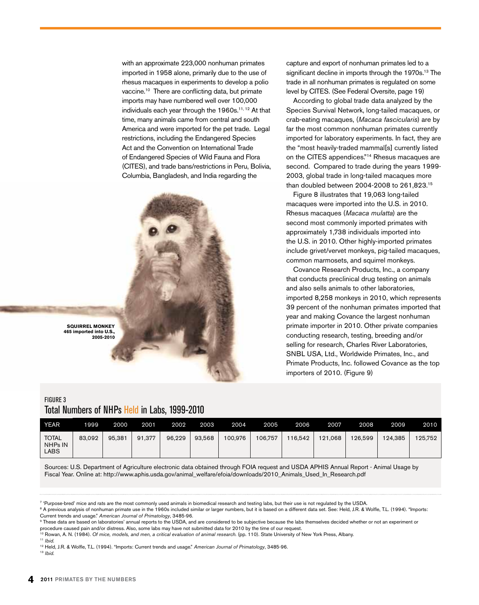with an approximate 223,000 nonhuman primates imported in 1958 alone, primarily due to the use of rhesus macaques in experiments to develop a polio vaccine.10 There are conflicting data, but primate imports may have numbered well over 100,000 individuals each year through the 1960s.<sup>11, 12</sup> At that time, many animals came from central and south America and were imported for the pet trade. Legal restrictions, including the Endangered Species Act and the Convention on International Trade of Endangered Species of Wild Fauna and Flora (CITES), and trade bans/restrictions in Peru, Bolivia, Columbia, Bangladesh, and India regarding the

capture and export of nonhuman primates led to a significant decline in imports through the 1970s.<sup>13</sup> The trade in all nonhuman primates is regulated on some level by CITES. (See Federal Oversite, page 19) According to global trade data analyzed by the Species Survival Network, long-tailed macaques, or crab-eating macaques, (*Macaca fascicularis*) are by far the most common nonhuman primates currently imported for laboratory experiments. In fact, they are the "most heavily-traded mammal[s] currently listed on the CITES appendices."14 Rhesus macaques are second. Compared to trade during the years 1999- 2003, global trade in long-tailed macaques more than doubled between 2004-2008 to 261,823.15 Figure 8 illustrates that 19,063 long-tailed macaques were imported into the U.S. in 2010. Rhesus macaques (*Macaca mulatta*) are the second most commonly imported primates with approximately 1,738 individuals imported into the U.S. in 2010. Other highly-imported primates include grivet/vervet monkeys, pig-tailed macaques, common marmosets, and squirrel monkeys. Covance Research Products, Inc., a company that conducts preclinical drug testing on animals and also sells animals to other laboratories,

imported 8,258 monkeys in 2010, which represents 39 percent of the nonhuman primates imported that year and making Covance the largest nonhuman primate importer in 2010. Other private companies conducting research, testing, breeding and/or selling for research, Charles River Laboratories, SNBL USA, Ltd., Worldwide Primates, Inc., and Primate Products, Inc. followed Covance as the top

importers of 2010. (Figure 9)

**Squirrel monkey 465 imported into U.S., 2005-2010**

#### Figure 3 Total Numbers of NHPs Held in Labs, 1999-2010

year 1999 2000 2001 2002 2003 2004 2005 2006 2007 2008 2009 2010 **TOTAL** nhps in **LABS** 83,092 95,381 91,377 96,229 93,568 100,976 106,757 116,542 121,068 126,599 124,385 125,752

Sources: U.S. Department of Agriculture electronic data obtained through FOIA request and USDA APHIS Annual Report - Animal Usage by Fiscal Year. Online at: http://www.aphis.usda.gov/animal\_welfare/efoia/downloads/2010\_Animals\_Used\_In\_Research.pdf

<sup>11</sup> *Ibid.*

<sup>13</sup> *Ibid.*

<sup>&</sup>lt;sup>7</sup> 'Purpose-bred' mice and rats are the most commonly used animals in biomedical research and testing labs, but their use is not regulated by the USDA.

<sup>&</sup>lt;sup>8</sup> A previous analysis of nonhuman primate use in the 1960s included similar or larger numbers, but it is based on a different data set. See: Held, J.R. & Wolfle, T.L. (1994). "Imports: Current trends and usage." *American Journal of Primatology*, 3485-96.

<sup>&</sup>lt;sup>9</sup> These data are based on laboratories' annual reports to the USDA, and are considered to be subjective because the labs themselves decided whether or not an experiment or procedure caused pain and/or distress. Also, some labs may have not submitted data for 2010 by the time of our request.

<sup>10</sup> Rowan, A. N. (1984). *Of mice, models, and men, a critical evaluation of animal research.* (pp. 110). State University of New York Press, Albany.

<sup>12</sup> Held, J.R. & Wolfle, T.L. (1994). "Imports: Current trends and usage." *American Journal of Primatology*, 3485-96.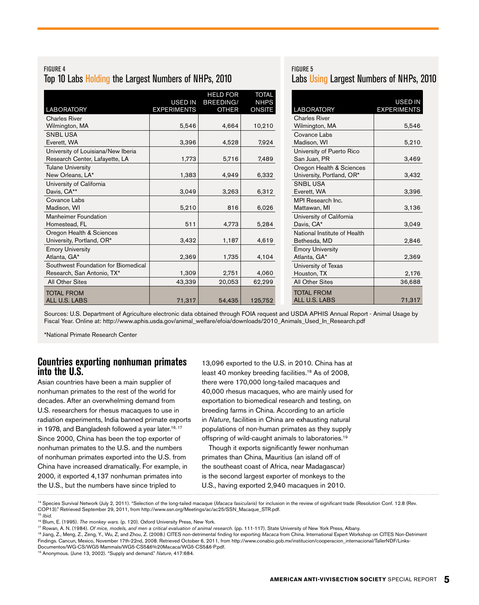#### Figure 4 Top 10 Labs Holding the Largest Numbers of NHPs, 2010

| <b>LABORATORY</b>                                                    | <b>USED IN</b><br><b>EXPERIMENTS</b> | <b>HELD FOR</b><br>BREEDING/<br><b>OTHER</b> | <b>TOTAL</b><br><b>NHPS</b><br><b>ONSITE</b> |
|----------------------------------------------------------------------|--------------------------------------|----------------------------------------------|----------------------------------------------|
| <b>Charles River</b>                                                 |                                      |                                              |                                              |
| Wilmington, MA                                                       | 5,546                                | 4,664                                        | 10,210                                       |
| <b>SNBLUSA</b><br>Everett, WA                                        | 3,396                                | 4,528                                        | 7,924                                        |
| University of Louisiana/New Iberia<br>Research Center, Lafayette, LA | 1,773                                | 5,716                                        | 7,489                                        |
| <b>Tulane University</b><br>New Orleans, LA*                         | 1,383                                | 4,949                                        | 6,332                                        |
| University of California<br>Davis, CA**                              | 3,049                                | 3,263                                        | 6,312                                        |
| Covance Labs<br>Madison, WI                                          | 5,210                                | 816                                          | 6,026                                        |
| <b>Manheimer Foundation</b><br>Homestead, FL                         | 511                                  | 4,773                                        | 5,284                                        |
| Oregon Health & Sciences<br>University, Portland, OR*                | 3,432                                | 1,187                                        | 4,619                                        |
| <b>Emory University</b><br>Atlanta, GA*                              | 2,369                                | 1,735                                        | 4,104                                        |
| Southwest Foundation for Biomedical<br>Research, San Antonio, TX*    | 1,309                                | 2,751                                        | 4,060                                        |
| All Other Sites                                                      | 43,339                               | 20,053                                       | 62,299                                       |
| <b>TOTAL FROM</b><br><b>ALL U.S. LABS</b>                            | 71,317                               | 54,435                                       | 125,752                                      |

### Figure 5 Labs Using Largest Numbers of NHPs, 2010

| <b>LABORATORY</b>            | <b>USED IN</b><br><b>EXPERIMENTS</b> |
|------------------------------|--------------------------------------|
| <b>Charles River</b>         |                                      |
| Wilmington, MA               | 5,546                                |
| Covance Labs                 |                                      |
| Madison, WI                  | 5,210                                |
| University of Puerto Rico    |                                      |
| San Juan, PR                 | 3,469                                |
| Oregon Health & Sciences     |                                      |
| University, Portland, OR*    | 3,432                                |
| <b>SNBL USA</b>              |                                      |
| Everett, WA                  | 3,396                                |
| MPI Research Inc.            |                                      |
| Mattawan, MI                 | 3,136                                |
| University of California     |                                      |
| Davis, CA*                   | 3,049                                |
| National Institute of Health |                                      |
| Bethesda, MD                 | 2,846                                |
| <b>Emory University</b>      |                                      |
| Atlanta, GA*                 | 2,369                                |
| University of Texas          |                                      |
| Houston, TX                  | 2,176                                |
| All Other Sites              | 36,688                               |
| <b>TOTAL FROM</b>            |                                      |
| <b>ALL U.S. LABS</b>         | 71,317                               |

Sources: U.S. Department of Agriculture electronic data obtained through FOIA request and USDA APHIS Annual Report - Animal Usage by Fiscal Year. Online at: http://www.aphis.usda.gov/animal\_welfare/efoia/downloads/2010\_Animals\_Used\_In\_Research.pdf

\*National Primate Research Center

#### **Countries exporting nonhuman primates into the U.S.**

Asian countries have been a main supplier of nonhuman primates to the rest of the world for decades. After an overwhelming demand from U.S. researchers for rhesus macaques to use in radiation experiments, India banned primate exports in 1978, and Bangladesh followed a year later.<sup>16, 17</sup> Since 2000, China has been the top exporter of nonhuman primates to the U.S. and the numbers of nonhuman primates exported into the U.S. from China have increased dramatically. For example, in 2000, it exported 4,137 nonhuman primates into the U.S., but the numbers have since tripled to

13,096 exported to the U.S. in 2010. China has at least 40 monkey breeding facilities.<sup>18</sup> As of 2008, there were 170,000 long-tailed macaques and 40,000 rhesus macaques, who are mainly used for exportation to biomedical research and testing, on breeding farms in China. According to an article in *Nature*, facilities in China are exhausting natural populations of non-human primates as they supply offspring of wild-caught animals to laboratories.19

Though it exports significantly fewer nonhuman primates than China, Mauritius (an island off of the southeast coast of Africa, near Madagascar) is the second largest exporter of monkeys to the U.S., having exported 2,940 macaques in 2010.

14 Species Survival Network (July 2, 2011). "Selection of the long-tailed macaque (*Macaca fasicularis*) for inclusion in the review of significant trade (Resolution Conf. 12.8 (Rev. COP13)." Retrieved September 29, 2011, from http://www.ssn.org/Meetings/ac/ac25/SSN\_Macaque\_STR.pdf. 15 *Ibid.*

<sup>16</sup> Blum, E. (1995). *The monkey wars.* (p. 120). Oxford University Press, New York.

<sup>17</sup> Rowan, A. N. (1984). *Of mice, models, and men a critical evaluation of animal research.* (pp. 111-117). State University of New York Press, Albany.

<sup>18</sup> Jiang, Z., Meng, Z., Zeng, Y., Wu, Z, and Zhou, Z. (2008.) CITES non-detrimental finding for exporting *Macaca* from China. International Expert Workshop on CITES Non-Detriment

Findings. Cancun, Mexico, November 17th-22nd, 2008. Retrieved October 6, 2011, from http://www.conabio.gob.mx/institucion/cooperacion\_internacional/TallerNDF/Links-

Documentos/WG-CS/WG5-Mammals/WG5-CS5&6%20Macaca/WG5-CS5&6-P.pdf.

<sup>19</sup> Anonymous. (June 13, 2002). "Supply and demand." *Nature*, 417:684.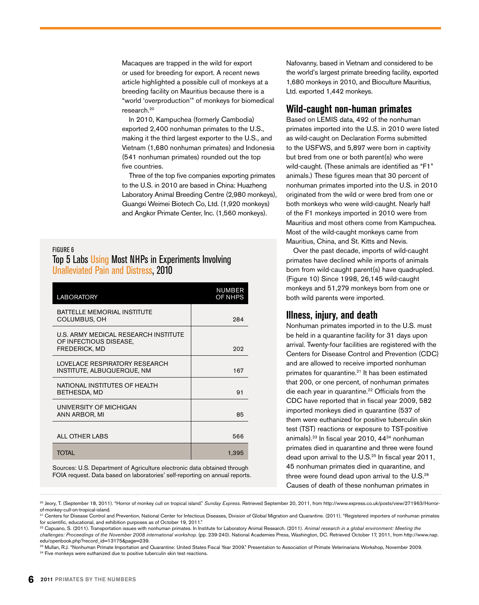Macaques are trapped in the wild for export or used for breeding for export. A recent news article highlighted a possible cull of monkeys at a breeding facility on Mauritius because there is a "world 'overproduction'" of monkeys for biomedical research.20

In 2010, Kampuchea (formerly Cambodia) exported 2,400 nonhuman primates to the U.S., making it the third largest exporter to the U.S., and Vietnam (1,680 nonhuman primates) and Indonesia (541 nonhuman primates) rounded out the top five countries.

Three of the top five companies exporting primates to the U.S. in 2010 are based in China: Huazheng Laboratory Animal Breeding Centre (2,980 monkeys), Guangxi Weimei Biotech Co, Ltd. (1,920 monkeys) and Angkor Primate Center, Inc. (1,560 monkeys).

#### Figure 6 Top 5 Labs Using Most NHPs in Experiments Involving Unalleviated Pain and Distress, 2010

| <b>LABORATORY</b>                                                                      | <b>NUMBER</b><br>OF NHPS |
|----------------------------------------------------------------------------------------|--------------------------|
| <b>BATTELLE MEMORIAL INSTITUTE</b><br>COLUMBUS, OH                                     | 284                      |
| U.S. ARMY MEDICAL RESEARCH INSTITUTE<br>OF INFECTIOUS DISEASE,<br><b>FREDERICK, MD</b> | 202                      |
| LOVELACE RESPIRATORY RESEARCH<br>INSTITUTE, ALBUQUERQUE, NM                            | 167                      |
| NATIONAL INSTITUTES OF HEALTH<br>BETHESDA, MD                                          | 91                       |
| UNIVERSITY OF MICHIGAN<br>ANN ARBOR, MI                                                | 85                       |
| <b>ALL OTHER LABS</b>                                                                  | 566                      |
| <b>TOTAL</b>                                                                           | 1,395                    |

Sources: U.S. Department of Agriculture electronic data obtained through FOIA request. Data based on laboratories' self-reporting on annual reports. Nafovanny, based in Vietnam and considered to be the world's largest primate breeding facility, exported 1,680 monkeys in 2010, and Bioculture Mauritius, Ltd. exported 1,442 monkeys.

#### **Wild-caught non-human primates**

Based on LEMIS data, 492 of the nonhuman primates imported into the U.S. in 2010 were listed as wild-caught on Declaration Forms submitted to the USFWS, and 5,897 were born in captivity but bred from one or both parent(s) who were wild-caught. (These animals are identified as "F1" animals.) These figures mean that 30 percent of nonhuman primates imported into the U.S. in 2010 originated from the wild or were bred from one or both monkeys who were wild-caught. Nearly half of the F1 monkeys imported in 2010 were from Mauritius and most others come from Kampuchea. Most of the wild-caught monkeys came from Mauritius, China, and St. Kitts and Nevis.

Over the past decade, imports of wild-caught primates have declined while imports of animals born from wild-caught parent(s) have quadrupled. (Figure 10) Since 1998, 26,145 wild-caught monkeys and 51,279 monkeys born from one or both wild parents were imported.

### **Illness, injury, and death**

Nonhuman primates imported in to the U.S. must be held in a quarantine facility for 31 days upon arrival. Twenty-four facilities are registered with the Centers for Disease Control and Prevention (CDC) and are allowed to receive imported nonhuman primates for quarantine.<sup>21</sup> It has been estimated that 200, or one percent, of nonhuman primates die each year in quarantine.<sup>22</sup> Officials from the CDC have reported that in fiscal year 2009, 582 imported monkeys died in quarantine (537 of them were euthanized for positive tuberculin skin test (TST) reactions or exposure to TST-positive animals).23 In fiscal year 2010, 4424 nonhuman primates died in quarantine and three were found dead upon arrival to the U.S.<sup>25</sup> In fiscal year 2011, 45 nonhuman primates died in quarantine, and three were found dead upon arrival to the U.S.<sup>26</sup> Causes of death of these nonhuman primates in

<sup>20</sup> Jeory, T. (September 18, 2011). "Horror of monkey cull on tropical island." *Sunday Express.* Retrieved September 20, 2011, from http://www.express.co.uk/posts/view/271963/Horrorof-monkey-cull-on-tropical-island.

<sup>&</sup>lt;sup>21</sup> Centers for Disease Control and Prevention, National Center for Infectious Diseases, Division of Global Migration and Quarantine. (2011). "Registered importers of nonhuman primates for scientific, educational, and exhibition purposes as of October 19, 2011."

<sup>22</sup> Capuano, S. (2011). Transportation issues with nonhuman primates. In Institute for Laboratory Animal Research. (2011). *Animal research in a global environment: Meeting the challenges: Proceedings of the November 2008 international workshop.* (pp. 239-240). National Academies Press, Washington, DC. Retrieved October 17, 2011, from http://www.nap. edu/openbook.php?record\_id=13175&page=239.

<sup>23</sup> Mullan, R.J. "Nonhuman Primate Importation and Quarantine: United States Fiscal Year 2009." Presentation to Association of Primate Veterinarians Workshop, November 2009. <sup>24</sup> Five monkeys were euthanized due to positive tuberculin skin test reactions.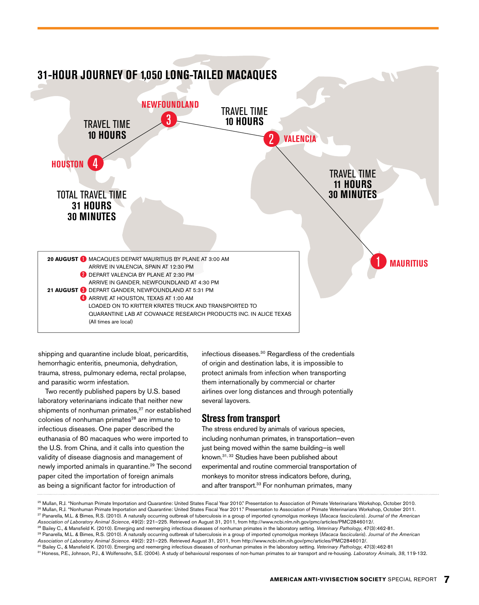

shipping and quarantine include bloat, pericarditis, hemorrhagic enteritis, pneumonia, dehydration, trauma, stress, pulmonary edema, rectal prolapse, and parasitic worm infestation.

Two recently published papers by U.S. based laboratory veterinarians indicate that neither new shipments of nonhuman primates,<sup>27</sup> nor established colonies of nonhuman primates<sup>28</sup> are immune to infectious diseases. One paper described the euthanasia of 80 macaques who were imported to the U.S. from China, and it calls into question the validity of disease diagnosis and management of newly imported animals in quarantine.<sup>29</sup> The second paper cited the importation of foreign animals as being a significant factor for introduction of

infectious diseases.30 Regardless of the credentials of origin and destination labs, it is impossible to protect animals from infection when transporting them internationally by commercial or charter airlines over long distances and through potentially several layovers.

#### **Stressfrom transport**

The stress endured by animals of various species, including nonhuman primates, in transportation—even just being moved within the same building—is well known.31, 32 Studies have been published about experimental and routine commercial transportation of monkeys to monitor stress indicators before, during, and after transport.<sup>33</sup> For nonhuman primates, many

<sup>25</sup> Mullan, R.J. "Nonhuman Primate Importation and Quarantine: United States Fiscal Year 2010." Presentation to Association of Primate Veterinarians Workshop, October 2010. 26 Mullan, R.J. "Nonhuman Primate Importation and Quarantine: United States Fiscal Year 2011." Presentation to Association of Primate Veterinarians Workshop, October 2011.

<sup>27</sup> Panarella, M.L. & Bimes, R.S. (2010). A naturally occurring outbreak of tuberculosis in a group of imported cynomolgus monkeys (*Macaca fascicularis*). *Journal of the American Association of Laboratory Animal Science*, 49(2): 221–225. Retrieved on August 31, 2011, from http://www.ncbi.nlm.nih.gov/pmc/articles/PMC2846012/.

<sup>28</sup> Bailey C., & Mansfield K. (2010). Emerging and reemerging infectious diseases of nonhuman primates in the laboratory setting. *Veterinary Pathology*, 47(3):462-81.

<sup>29</sup> Panarella, M.L. & Bimes, R.S. (2010). A naturally occurring outbreak of tuberculosis in a group of imported cynomolgus monkeys (*Macaca fascicularis*). *Journal of the American Association of Laboratory Animal Science.* 49(2): 221–225. Retrieved August 31, 2011, from http://www.ncbi.nlm.nih.gov/pmc/articles/PMC2846012/.

<sup>30</sup> Bailey C., & Mansfield K. (2010). Emerging and reemerging infectious diseases of nonhuman primates in the laboratory setting. *Veterinary Pathology*, 47(3):462-81

<sup>31</sup> Honess, P.E., Johnson, P.J., & Wolfensohn, S.E. (2004). A study of behavioural responses of non-human primates to air transport and re-housing. *Laboratory Animals, 38*, 119-132.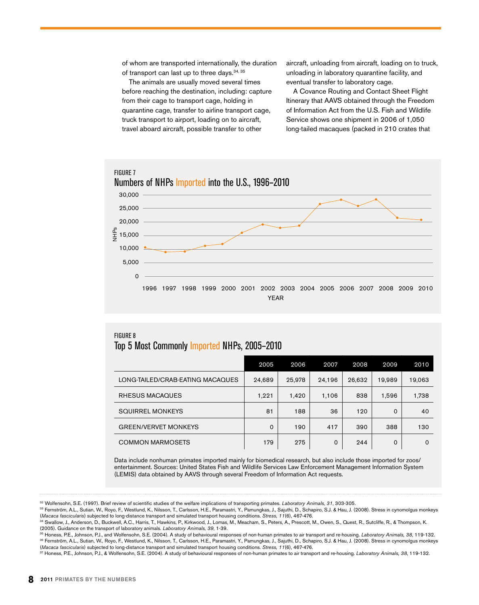of whom are transported internationally, the duration of transport can last up to three days.<sup>34, 35</sup>

The animals are usually moved several times before reaching the destination, including: capture from their cage to transport cage, holding in quarantine cage, transfer to airline transport cage, truck transport to airport, loading on to aircraft, travel aboard aircraft, possible transfer to other

aircraft, unloading from aircraft, loading on to truck, unloading in laboratory quarantine facility, and eventual transfer to laboratory cage.

A Covance Routing and Contact Sheet Flight Itinerary that AAVS obtained through the Freedom of Information Act from the U.S. Fish and Wildlife Service shows one shipment in 2006 of 1,050 long-tailed macaques (packed in 210 crates that



#### Figure 8 Top 5 Most Commonly Imported NHPs, 2005–2010

|                                  | 2005     | 2006   | 2007   | 2008   | 2009        | 2010     |
|----------------------------------|----------|--------|--------|--------|-------------|----------|
| LONG-TAILED/CRAB-EATING MACAQUES | 24,689   | 25,978 | 24.196 | 26,632 | 19.989      | 19,063   |
| RHESUS MACAQUES                  | 1,221    | 1,420  | 1.106  | 838    | 1,596       | 1,738    |
| <b>SQUIRREL MONKEYS</b>          | 81       | 188    | 36     | 120    | $\Omega$    | 40       |
| <b>GREEN/VERVET MONKEYS</b>      | $\Omega$ | 190    | 417    | 390    | 388         | 130      |
| <b>COMMON MARMOSETS</b>          | 179      | 275    | 0      | 244    | $\mathbf 0$ | $\Omega$ |

Data include nonhuman primates imported mainly for biomedical research, but also include those imported for zoos/ entertainment. Sources: United States Fish and Wildlife Services Law Enforcement Management Information System (LEMIS) data obtained by AAVS through several Freedom of Information Act requests.

<sup>32</sup> Wolfensohn, S.E. (1997). Brief review of scientific studies of the welfare implications of transporting primates. *Laboratory Animals, 31*, 303-305.

<sup>33</sup> Fernström, A.L., Sutian, W., Royo, F., Westlund, K., Nilsson, T., Carlsson, H.E., Paramastri, Y., Pamungkas, J., Sajuthi, D., Schapiro, S.J. & Hau, J. (2008). Stress in cynomolgus monkeys (*Macaca fascicularis*) subjected to long-distance transport and simulated transport housing conditions. *Stress, 11*(6), 467-476.

<sup>34</sup> Swallow, J., Anderson, D., Buckwell, A.C., Harris, T., Hawkins, P., Kirkwood, J., Lomas, M., Meacham, S., Peters, A., Prescott, M., Owen, S., Quest, R., Sutcliffe, R., & Thompson, K. (2005). Guidance on the transport of laboratory animals. *Laboratory Animals, 39*, 1-39.

<sup>35</sup> Honess, P.E., Johnson, P.J., and Wolfensohn, S.E. (2004). A study of behavioural responses of non-human primates to air transport and re-housing. *Laboratory Animals, 38*, 119-132. <sup>36</sup> Fernström, A.L., Sutian, W., Royo, F., Westlund, K., Nilsson, T., Carlsson, H.E., Paramastri, Y., Pamungkas, J., Sajuthi, D., Schapiro, S.J. & Hau, J. (2008). Stress in cynomolgus monkeys (*Macaca fascicularis*) subjected to long-distance transport and simulated transport housing conditions. *Stress, 11*(6), 467-476.

<sup>37</sup> Honess, P.E., Johnson, P.J., & Wolfensohn, S.E. (2004). A study of behavioural responses of non-human primates to air transport and re-housing. *Laboratory Animals, 38*, 119-132.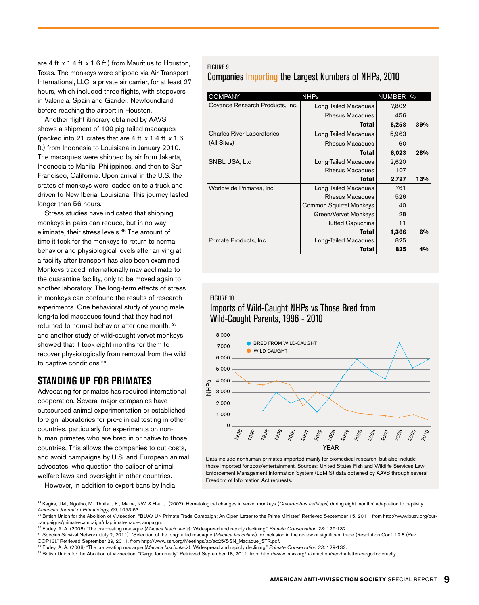are 4 ft. x 1.4 ft. x 1.6 ft.) from Mauritius to Houston, Texas. The monkeys were shipped via Air Transport International, LLC, a private air carrier, for at least 27 hours, which included three flights, with stopovers in Valencia, Spain and Gander, Newfoundland before reaching the airport in Houston.

Another flight itinerary obtained by AAVS shows a shipment of 100 pig-tailed macaques (packed into 21 crates that are 4 ft. x 1.4 ft. x 1.6 ft.) from Indonesia to Louisiana in January 2010. The macaques were shipped by air from Jakarta, Indonesia to Manila, Philippines, and then to San Francisco, California. Upon arrival in the U.S. the crates of monkeys were loaded on to a truck and driven to New Iberia, Louisiana. This journey lasted longer than 56 hours.

Stress studies have indicated that shipping monkeys in pairs can reduce, but in no way eliminate, their stress levels.36 The amount of time it took for the monkeys to return to normal behavior and physiological levels after arriving at a facility after transport has also been examined. Monkeys traded internationally may acclimate to the quarantine facility, only to be moved again to another laboratory. The long-term effects of stress in monkeys can confound the results of research experiments. One behavioral study of young male long-tailed macaques found that they had not returned to normal behavior after one month, <sup>37</sup> and another study of wild-caught vervet monkeys showed that it took eight months for them to recover physiologically from removal from the wild to captive conditions.<sup>38</sup>

### **STANDING UP FOR PRIMATES**

Advocating for primates has required international cooperation. Several major companies have outsourced animal experimentation or established foreign laboratories for pre-clinical testing in other countries, particularly for experiments on nonhuman primates who are bred in or native to those countries. This allows the companies to cut costs, and avoid campaigns by U.S. and European animal advocates, who question the caliber of animal welfare laws and oversight in other countries.

However, in addition to export bans by India

#### Figure 9 Companies Importing the Largest Numbers of NHPs, 2010

| <b>COMPANY</b>                    | <b>NHPs</b>                    | NUMBER % |     |
|-----------------------------------|--------------------------------|----------|-----|
| Covance Research Products, Inc.   | Long-Tailed Macaques           | 7,802    |     |
|                                   | Rhesus Macaques                | 456      |     |
|                                   | <b>Total</b>                   | 8,258    | 39% |
| <b>Charles River Laboratories</b> | Long-Tailed Macaques           | 5,963    |     |
| (All Sites)                       | Rhesus Macaques                | 60       |     |
|                                   | Total                          | 6,023    | 28% |
| SNBL USA, Ltd                     | Long-Tailed Macaques           | 2,620    |     |
|                                   | Rhesus Macaques                | 107      |     |
|                                   | Total                          | 2,727    | 13% |
| Worldwide Primates, Inc.          | Long-Tailed Macaques           | 761      |     |
|                                   | Rhesus Macaques                | 526      |     |
|                                   | <b>Common Squirrel Monkeys</b> | 40       |     |
|                                   | Green/Vervet Monkeys           | 28       |     |
|                                   | <b>Tufted Capuchins</b>        | 11       |     |
|                                   | Total                          | 1,366    | 6%  |
| Primate Products, Inc.            | Long-Tailed Macaques           | 825      |     |
|                                   | Total                          | 825      | 4%  |

#### Figure 10 Imports of Wild-Caught NHPs vs Those Bred from Wild-Caught Parents, 1996 - 2010



Data include nonhuman primates imported mainly for biomedical research, but also include those imported for zoos/entertainment. Sources: United States Fish and Wildlife Services Law Enforcement Management Information System (LEMIS) data obtained by AAVS through several Freedom of Information Act requests.

<sup>38</sup> Kagira, J.M., Ngotho, M., Thuita, J.K., Maina, NW, & Hau, J. (2007). Hematological changes in vervet monkeys (Chlorocebus aethiops) during eight months' adaptation to captivity. *American Journal of Primatology, 69*, 1053-63.

<sup>&</sup>lt;sup>39</sup> British Union for the Abolition of Vivisection. "BUAV UK Primate Trade Campaign: An Open Letter to the Prime Minister." Retrieved September 15, 2011, from http://www.buav.org/ourcampaigns/primate-campaign/uk-primate-trade-campaign.

<sup>40</sup> Eudey, A. A. (2008) "The crab-eating macaque (*Macaca fascicularis*): Widespread and rapidly declining." *Primate Conservation 23*: 129-132.

<sup>&</sup>lt;sup>41</sup> Species Survival Network (July 2, 2011). "Selection of the long-tailed macaque (*Macaca fasicularis*) for inclusion in the review of significant trade (Resolution Conf. 12.8 (Rev.<br>COP13)." Retrieved September 29, 2011

<sup>&</sup>lt;sup>42</sup> Eudey, A. A. (2008) "The crab-eating macaque (Macaca fascicularis): Widespread and rapidly declining." Primate Conservation 23: 129-132.

<sup>43</sup> British Union for the Abolition of Vivisection. "Cargo for cruelty." Retrieved September 18, 2011, from http://www.buav.org/take-action/send-a-letter/cargo-for-cruelty.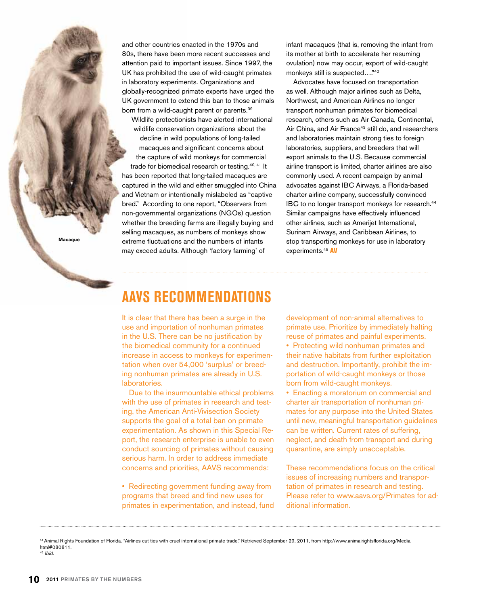**Macaque**

and other countries enacted in the 1970s and 80s, there have been more recent successes and attention paid to important issues. Since 1997, the UK has prohibited the use of wild-caught primates in laboratory experiments. Organizations and globally-recognized primate experts have urged the UK government to extend this ban to those animals born from a wild-caught parent or parents.<sup>39</sup>

Wildlife protectionists have alerted international wildlife conservation organizations about the decline in wild populations of long-tailed macaques and significant concerns about the capture of wild monkeys for commercial trade for biomedical research or testing.40, 41 It has been reported that long-tailed macaques are captured in the wild and either smuggled into China and Vietnam or intentionally mislabeled as "captive bred." According to one report, "Observers from non-governmental organizations (NGOs) question whether the breeding farms are illegally buying and selling macaques, as numbers of monkeys show extreme fluctuations and the numbers of infants may exceed adults. Although 'factory farming' of

infant macaques (that is, removing the infant from its mother at birth to accelerate her resuming ovulation) now may occur, export of wild-caught monkeys still is suspected…."42

Advocates have focused on transportation as well. Although major airlines such as Delta, Northwest, and American Airlines no longer transport nonhuman primates for biomedical research, others such as Air Canada, Continental, Air China, and Air France<sup>43</sup> still do, and researchers and laboratories maintain strong ties to foreign laboratories, suppliers, and breeders that will export animals to the U.S. Because commercial airline transport is limited, charter airlines are also commonly used. A recent campaign by animal advocates against IBC Airways, a Florida-based charter airline company, successfully convinced IBC to no longer transport monkeys for research.<sup>44</sup> Similar campaigns have effectively influenced other airlines, such as Amerijet International, Surinam Airways, and Caribbean Airlines, to stop transporting monkeys for use in laboratory experiments.<sup>45</sup> AV

# **AAVS Recommendations**

It is clear that there has been a surge in the use and importation of nonhuman primates in the U.S. There can be no justification by the biomedical community for a continued increase in access to monkeys for experimentation when over 54,000 'surplus' or breeding nonhuman primates are already in U.S. laboratories.

Due to the insurmountable ethical problems with the use of primates in research and testing, the American Anti-Vivisection Society supports the goal of a total ban on primate experimentation. As shown in this Special Report, the research enterprise is unable to even conduct sourcing of primates without causing serious harm. In order to address immediate concerns and priorities, AAVS recommends:

• Redirecting government funding away from programs that breed and find new uses for primates in experimentation, and instead, fund development of non-animal alternatives to primate use. Prioritize by immediately halting reuse of primates and painful experiments. • Protecting wild nonhuman primates and

their native habitats from further exploitation and destruction. Importantly, prohibit the importation of wild-caught monkeys or those born from wild-caught monkeys.

• Enacting a moratorium on commercial and charter air transportation of nonhuman primates for any purpose into the United States until new, meaningful transportation guidelines can be written. Current rates of suffering, neglect, and death from transport and during quarantine, are simply unacceptable.

These recommendations focus on the critical issues of increasing numbers and transportation of primates in research and testing. Please refer to www.aavs.org/Primates for additional information.

44 Animal Rights Foundation of Florida. "Airlines cut ties with cruel international primate trade." Retrieved September 29, 2011, from http://www.animalrightsflorida.org/Media. html#080811. <sup>45</sup> *Ibid.*